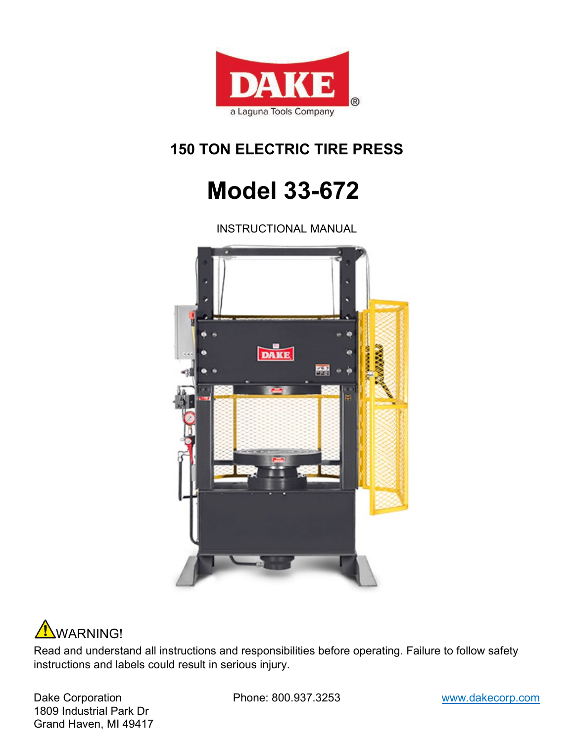

## **150 TON ELECTRIC TIRE PRESS**

## **Model 33-672**

INSTRUCTIONAL MANUAL





Read and understand all instructions and responsibilities before operating. Failure to follow safety instructions and labels could result in serious injury.

Dake Corporation **Phone: 800.937.3253** www.dakecorp.com 1809 Industrial Park Dr Grand Haven, MI 49417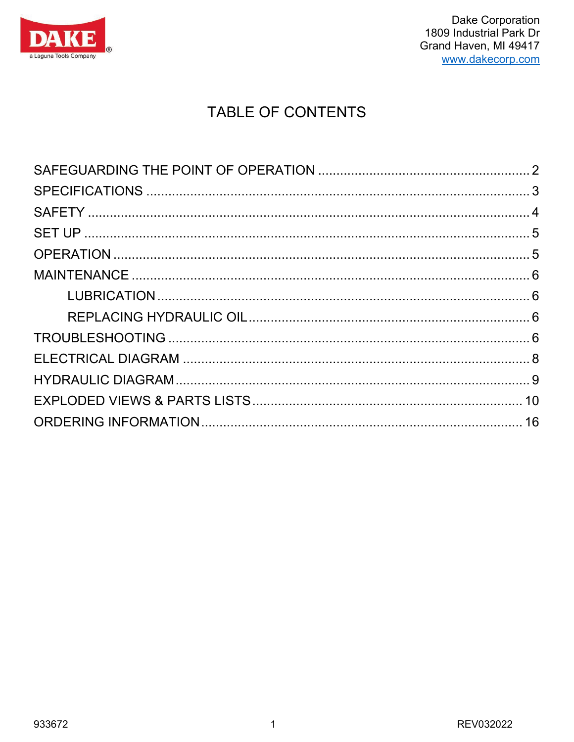

## **TABLE OF CONTENTS**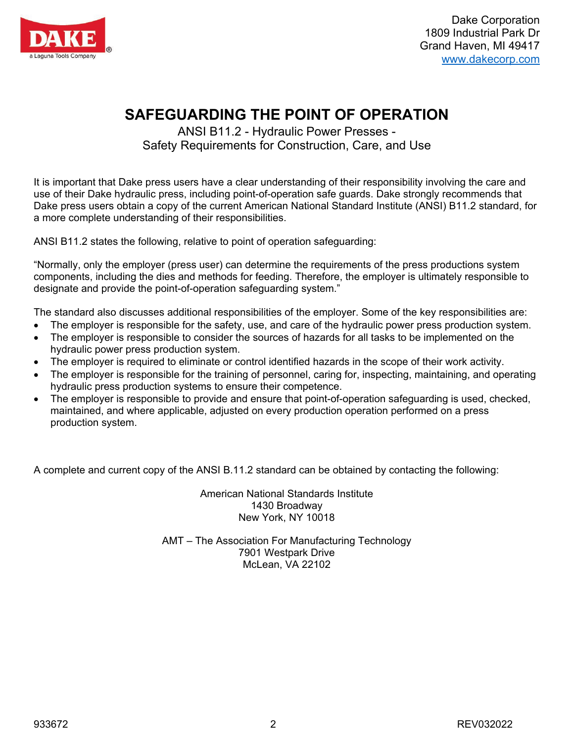

## **SAFEGUARDING THE POINT OF OPERATION**

ANSI B11.2 - Hydraulic Power Presses - Safety Requirements for Construction, Care, and Use

<span id="page-2-0"></span>It is important that Dake press users have a clear understanding of their responsibility involving the care and use of their Dake hydraulic press, including point-of-operation safe guards. Dake strongly recommends that Dake press users obtain a copy of the current American National Standard Institute (ANSI) B11.2 standard, for a more complete understanding of their responsibilities.

ANSI B11.2 states the following, relative to point of operation safeguarding:

"Normally, only the employer (press user) can determine the requirements of the press productions system components, including the dies and methods for feeding. Therefore, the employer is ultimately responsible to designate and provide the point-of-operation safeguarding system."

The standard also discusses additional responsibilities of the employer. Some of the key responsibilities are:

- The employer is responsible for the safety, use, and care of the hydraulic power press production system.
- The employer is responsible to consider the sources of hazards for all tasks to be implemented on the hydraulic power press production system.
- The employer is required to eliminate or control identified hazards in the scope of their work activity.
- The employer is responsible for the training of personnel, caring for, inspecting, maintaining, and operating hydraulic press production systems to ensure their competence.
- The employer is responsible to provide and ensure that point-of-operation safeguarding is used, checked, maintained, and where applicable, adjusted on every production operation performed on a press production system.

A complete and current copy of the ANSI B.11.2 standard can be obtained by contacting the following:

American National Standards Institute 1430 Broadway New York, NY 10018

AMT – The Association For Manufacturing Technology 7901 Westpark Drive McLean, VA 22102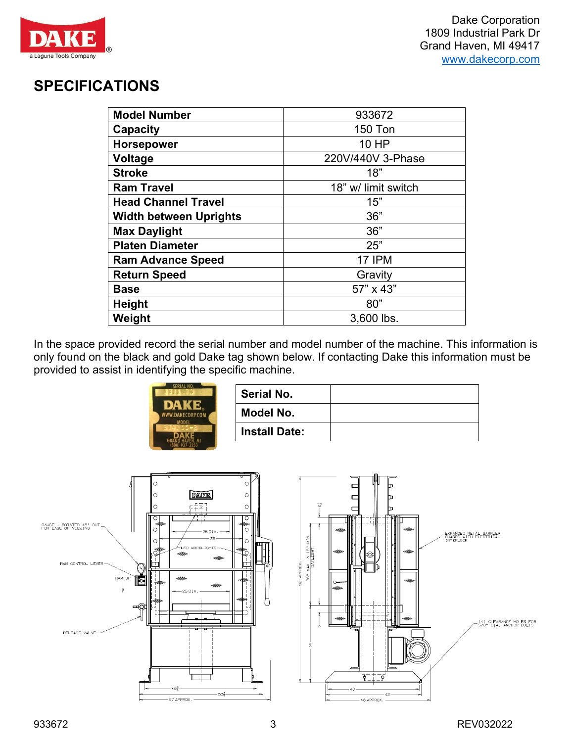

## <span id="page-3-0"></span>**SPECIFICATIONS**

| <b>Model Number</b>           | 933672              |
|-------------------------------|---------------------|
| Capacity                      | <b>150 Ton</b>      |
| <b>Horsepower</b>             | 10 HP               |
| Voltage                       | 220V/440V 3-Phase   |
| <b>Stroke</b>                 | 18"                 |
| <b>Ram Travel</b>             | 18" w/ limit switch |
| <b>Head Channel Travel</b>    | 15"                 |
| <b>Width between Uprights</b> | 36"                 |
| <b>Max Daylight</b>           | 36"                 |
| <b>Platen Diameter</b>        | 25"                 |
| <b>Ram Advance Speed</b>      | <b>17 IPM</b>       |
| <b>Return Speed</b>           | Gravity             |
| <b>Base</b>                   | 57" x 43"           |
| <b>Height</b>                 | 80"                 |
| Weight                        | 3,600 lbs.          |

In the space provided record the serial number and model number of the machine. This information is only found on the black and gold Dake tag shown below. If contacting Dake this information must be provided to assist in identifying the specific machine.



| Serial No.           |  |
|----------------------|--|
| Model No.            |  |
| <b>Install Date:</b> |  |



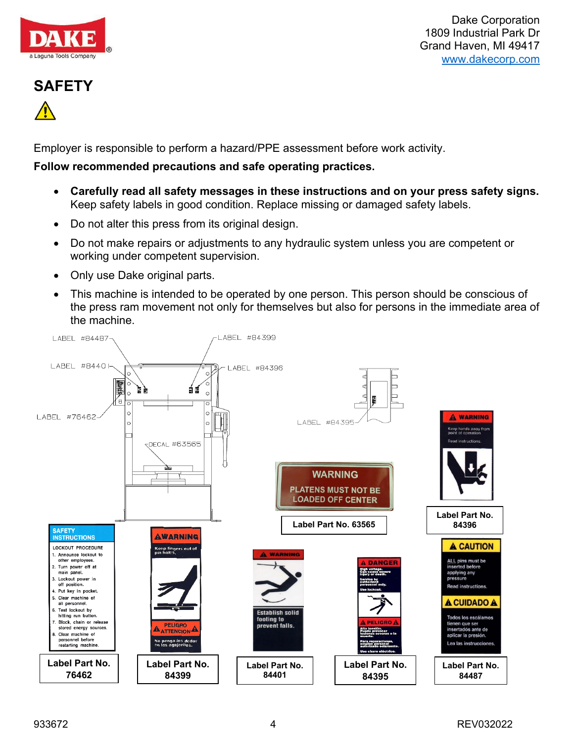

# <span id="page-4-0"></span>**SAFETY**

Employer is responsible to perform a hazard/PPE assessment before work activity.

#### **Follow recommended precautions and safe operating practices.**

- **Carefully read all safety messages in these instructions and on your press safety signs.** Keep safety labels in good condition. Replace missing or damaged safety labels.
- Do not alter this press from its original design.
- Do not make repairs or adjustments to any hydraulic system unless you are competent or working under competent supervision.
- Only use Dake original parts.
- This machine is intended to be operated by one person. This person should be conscious of the press ram movement not only for themselves but also for persons in the immediate area of the machine.

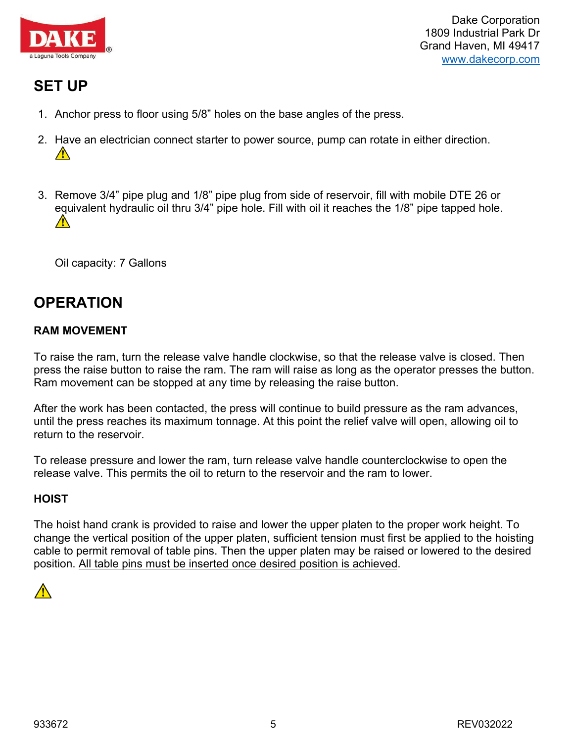

## <span id="page-5-0"></span>**SET UP**

- 1. Anchor press to floor using 5/8" holes on the base angles of the press.
- 2. [Hav](https://www.google.com/url?sa=i&rct=j&q=&esrc=s&source=images&cd=&cad=rja&uact=8&ved=2ahUKEwitt5m7ocLbAhVQXKwKHRlSBhkQjRx6BAgBEAU&url=http://www.centurionsigns.co.uk/product/exclamation-warning-sign/&psig=AOvVaw3FVbTTe_CEDBOrk8LLmp2A&ust=1528485179767197)e an electrician connect starter to power source, pump can rotate in either direction.  $\sqrt{N}$
- 3. Remove 3/4" pipe plug and 1/8" pipe plug from side of reservoir, fill with mobile DTE 26 or equivalent hydraulic oil thru 3/4" pipe hole. Fill with oil it reaches the 1/8" pipe tapped hole.  $\bigwedge$

Oil capacity: 7 Gallons

## <span id="page-5-1"></span>**OPERATION**

#### **RAM MOVEMENT**

To raise the ram, turn the release valve handle clockwise, so that the release valve is closed. Then press the raise button to raise the ram. The ram will raise as long as the operator presses the button. Ram movement can be stopped at any time by releasing the raise button.

After the work has been contacted, the press will continue to build pressure as the ram advances, until the press reaches its maximum tonnage. At this point the relief valve will open, allowing oil to return to the reservoir.

To release pressure and lower the ram, turn release valve handle counterclockwise to open the release valve. This permits the oil to return to the reservoir and the ram to lower.

#### **HOIST**

The hoist hand crank is provided to raise and lower the upper platen to the proper work height. To change the vertical position of the upper platen, sufficient tension must first be applied to the hoisting cable to permit removal of table pins. Then the upper platen may be raised or lowered to the desired position. All table pins must be inserted once desired position is achieved.

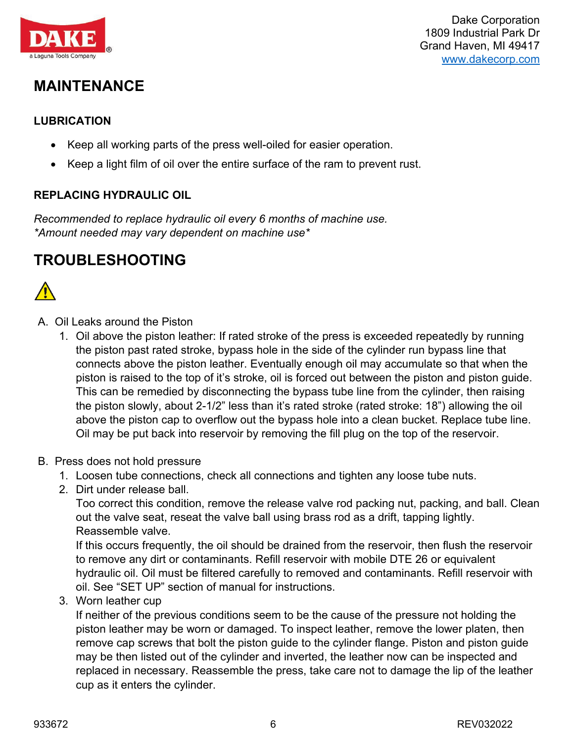

## <span id="page-6-0"></span>**MAINTENANCE**

#### <span id="page-6-1"></span>**LUBRICATION**

- Keep all working parts of the press well-oiled for easier operation.
- Keep a light film of oil over the entire surface of the ram to prevent rust.

#### <span id="page-6-2"></span>**REPLACING HYDRAULIC OIL**

*Recommended to replace hydraulic oil every 6 months of machine use. \*Amount needed may vary dependent on machine use\**

## <span id="page-6-3"></span>**TROUBLESHOOTING**



- A. Oil Leaks around the Piston
	- 1. Oil above the piston leather: If rated stroke of the press is exceeded repeatedly by running the piston past rated stroke, bypass hole in the side of the cylinder run bypass line that connects above the piston leather. Eventually enough oil may accumulate so that when the piston is raised to the top of it's stroke, oil is forced out between the piston and piston guide. This can be remedied by disconnecting the bypass tube line from the cylinder, then raising the piston slowly, about 2-1/2" less than it's rated stroke (rated stroke: 18") allowing the oil above the piston cap to overflow out the bypass hole into a clean bucket. Replace tube line. Oil may be put back into reservoir by removing the fill plug on the top of the reservoir.
- B. Press does not hold pressure
	- 1. Loosen tube connections, check all connections and tighten any loose tube nuts.
	- 2. Dirt under release ball.

Too correct this condition, remove the release valve rod packing nut, packing, and ball. Clean out the valve seat, reseat the valve ball using brass rod as a drift, tapping lightly. Reassemble valve.

If this occurs frequently, the oil should be drained from the reservoir, then flush the reservoir to remove any dirt or contaminants. Refill reservoir with mobile DTE 26 or equivalent hydraulic oil. Oil must be filtered carefully to removed and contaminants. Refill reservoir with oil. See "SET UP" section of manual for instructions.

3. Worn leather cup

If neither of the previous conditions seem to be the cause of the pressure not holding the piston leather may be worn or damaged. To inspect leather, remove the lower platen, then remove cap screws that bolt the piston guide to the cylinder flange. Piston and piston guide may be then listed out of the cylinder and inverted, the leather now can be inspected and replaced in necessary. Reassemble the press, take care not to damage the lip of the leather cup as it enters the cylinder.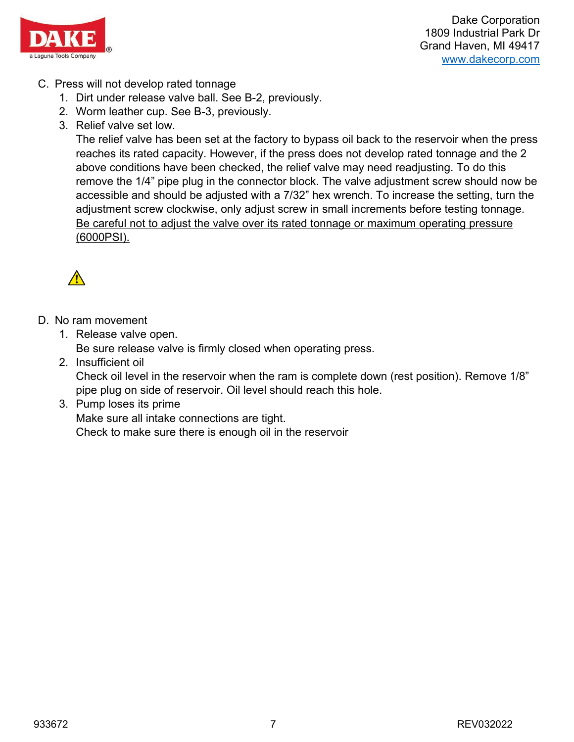

- C. Press will not develop rated tonnage
	- 1. Dirt under release valve ball. See B-2, previously.
	- 2. Worm leather cup. See B-3, previously.
	- 3. Relief valve set low.

The relief valve has been set at the factory to bypass oil back to the reservoir when the press reaches its rated capacity. However, if the press does not develop rated tonnage and the 2 above conditions have been checked, the relief valve may need readjusting. To do this remove the 1/4" pipe plug in the connector block. The valve adjustment screw should now be accessible and should be adjusted with a 7/32" hex wrench. To increase the setting, turn the adjustment screw clockwise, only adjust screw in small increments before testing tonnage. Be careful not to adjust the valve over its rated tonnage or maximum operating pressure (6000PSI).



- D. No ram movement
	- 1. Release valve open. Be sure release valve is firmly closed when operating press.
	- 2. Insufficient oil

Check oil level in the reservoir when the ram is complete down (rest position). Remove 1/8" pipe plug on side of reservoir. Oil level should reach this hole.

#### 3. Pump loses its prime

Make sure all intake connections are tight.

Check to make sure there is enough oil in the reservoir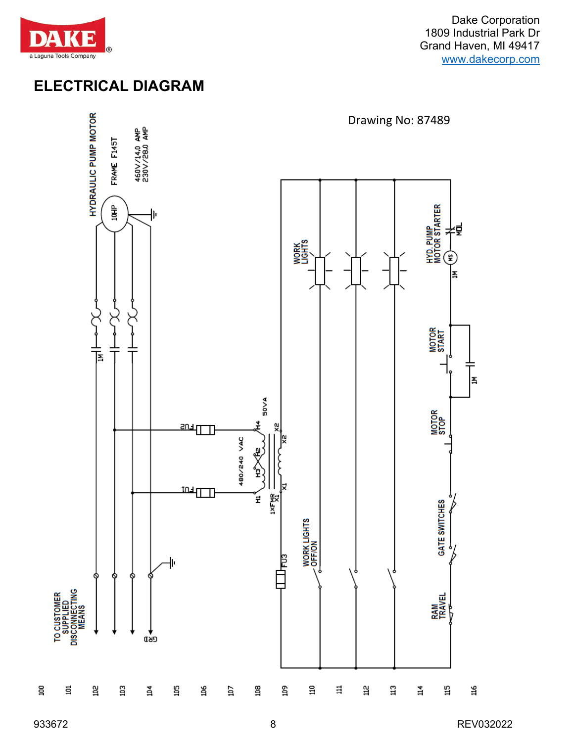

## <span id="page-8-0"></span>**ELECTRICAL DIAGRAM**



 $\Xi$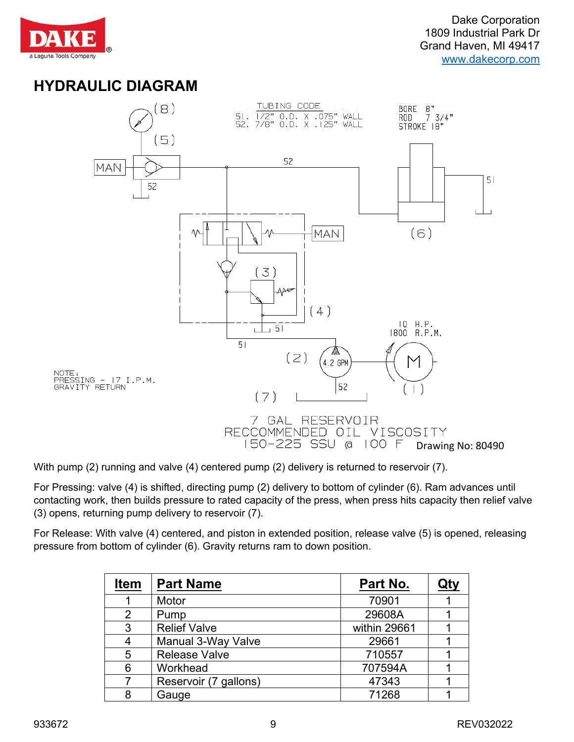

## <span id="page-9-0"></span>**HYDRAULIC DIAGRAM**



With pump (2) running and valve (4) centered pump (2) delivery is returned to reservoir (7).

For Pressing: valve (4) is shifted, directing pump (2) delivery to bottom of cylinder (6). Ram advances until contacting work, then builds pressure to rated capacity of the press, when press hits capacity then relief valve (3) opens, returning pump delivery to reservoir (7).

For Release: With valve (4) centered, and piston in extended position, release valve (5) is opened, releasing pressure from bottom of cylinder (6). Gravity returns ram to down position.

| <b>Item</b> | <b>Part Name</b>      | Part No.     | Qty |
|-------------|-----------------------|--------------|-----|
|             | Motor                 | 70901        |     |
| 2           | Pump                  | 29608A       |     |
| 3           | <b>Relief Valve</b>   | within 29661 |     |
|             | Manual 3-Way Valve    | 29661        |     |
| 5           | <b>Release Valve</b>  | 710557       |     |
| 6           | Workhead              | 707594A      |     |
|             | Reservoir (7 gallons) | 47343        |     |
| 8           | Gauge                 | 71268        |     |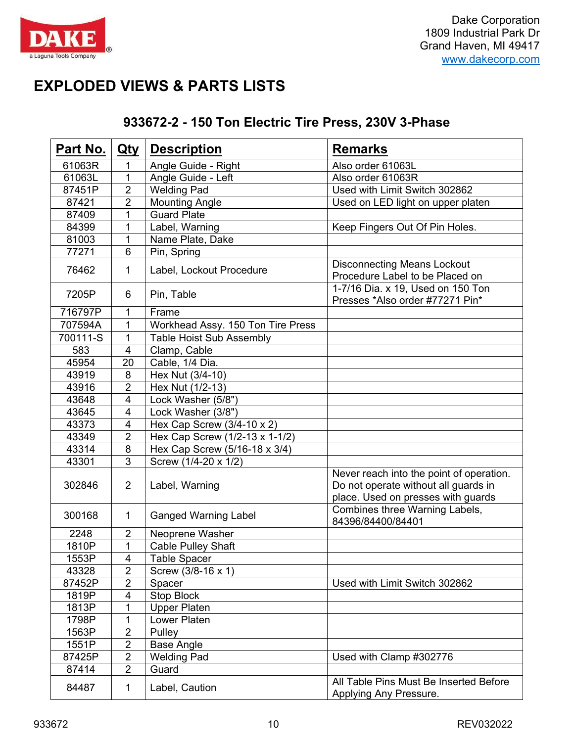

## <span id="page-10-0"></span>**EXPLODED VIEWS & PARTS LISTS**

| Part No. | $Q$ ty                   | <b>Description</b>                | <b>Remarks</b>                                                                                                         |
|----------|--------------------------|-----------------------------------|------------------------------------------------------------------------------------------------------------------------|
| 61063R   | 1                        | Angle Guide - Right               | Also order 61063L                                                                                                      |
| 61063L   | 1                        | Angle Guide - Left                | Also order 61063R                                                                                                      |
| 87451P   | $\overline{2}$           | <b>Welding Pad</b>                | Used with Limit Switch 302862                                                                                          |
| 87421    | $\overline{2}$           | <b>Mounting Angle</b>             | Used on LED light on upper platen                                                                                      |
| 87409    | 1                        | <b>Guard Plate</b>                |                                                                                                                        |
| 84399    | 1                        | Label, Warning                    | Keep Fingers Out Of Pin Holes.                                                                                         |
| 81003    | 1                        | Name Plate, Dake                  |                                                                                                                        |
| 77271    | 6                        | Pin, Spring                       |                                                                                                                        |
| 76462    | $\mathbf{1}$             | Label, Lockout Procedure          | <b>Disconnecting Means Lockout</b><br>Procedure Label to be Placed on                                                  |
| 7205P    | 6                        | Pin, Table                        | 1-7/16 Dia. x 19, Used on 150 Ton<br>Presses *Also order #77271 Pin*                                                   |
| 716797P  | 1                        | Frame                             |                                                                                                                        |
| 707594A  | 1                        | Workhead Assy. 150 Ton Tire Press |                                                                                                                        |
| 700111-S | 1                        | <b>Table Hoist Sub Assembly</b>   |                                                                                                                        |
| 583      | $\overline{\mathcal{A}}$ | Clamp, Cable                      |                                                                                                                        |
| 45954    | 20                       | Cable, 1/4 Dia.                   |                                                                                                                        |
| 43919    | 8                        | Hex Nut (3/4-10)                  |                                                                                                                        |
| 43916    | $\overline{2}$           | Hex Nut (1/2-13)                  |                                                                                                                        |
| 43648    | 4                        | Lock Washer (5/8")                |                                                                                                                        |
| 43645    | 4                        | Lock Washer (3/8")                |                                                                                                                        |
| 43373    | 4                        | Hex Cap Screw $(3/4-10 \times 2)$ |                                                                                                                        |
| 43349    | $\overline{2}$           | Hex Cap Screw (1/2-13 x 1-1/2)    |                                                                                                                        |
| 43314    | 8                        | Hex Cap Screw (5/16-18 x 3/4)     |                                                                                                                        |
| 43301    | 3                        | Screw (1/4-20 x 1/2)              |                                                                                                                        |
| 302846   | $\overline{2}$           | Label, Warning                    | Never reach into the point of operation.<br>Do not operate without all guards in<br>place. Used on presses with guards |
| 300168   | $\mathbf{1}$             | <b>Ganged Warning Label</b>       | Combines three Warning Labels,<br>84396/84400/84401                                                                    |
| 2248     | $\overline{2}$           | Neoprene Washer                   |                                                                                                                        |
| 1810P    | 1                        | <b>Cable Pulley Shaft</b>         |                                                                                                                        |
| 1553P    | $\overline{\mathbf{4}}$  | Table Spacer                      |                                                                                                                        |
| 43328    | $\overline{2}$           | Screw (3/8-16 x 1)                |                                                                                                                        |
| 87452P   | 2                        | Spacer                            | Used with Limit Switch 302862                                                                                          |
| 1819P    | 4                        | Stop Block                        |                                                                                                                        |
| 1813P    | 1                        | <b>Upper Platen</b>               |                                                                                                                        |
| 1798P    | $\mathbf 1$              | Lower Platen                      |                                                                                                                        |
| 1563P    | 2                        | Pulley                            |                                                                                                                        |
| 1551P    | $\overline{2}$           | <b>Base Angle</b>                 |                                                                                                                        |
| 87425P   | $\overline{2}$           | <b>Welding Pad</b>                | Used with Clamp #302776                                                                                                |
| 87414    | $\overline{2}$           | Guard                             |                                                                                                                        |
| 84487    | $\mathbf{1}$             | Label, Caution                    | All Table Pins Must Be Inserted Before<br>Applying Any Pressure.                                                       |

#### **933672-2 - 150 Ton Electric Tire Press, 230V 3-Phase**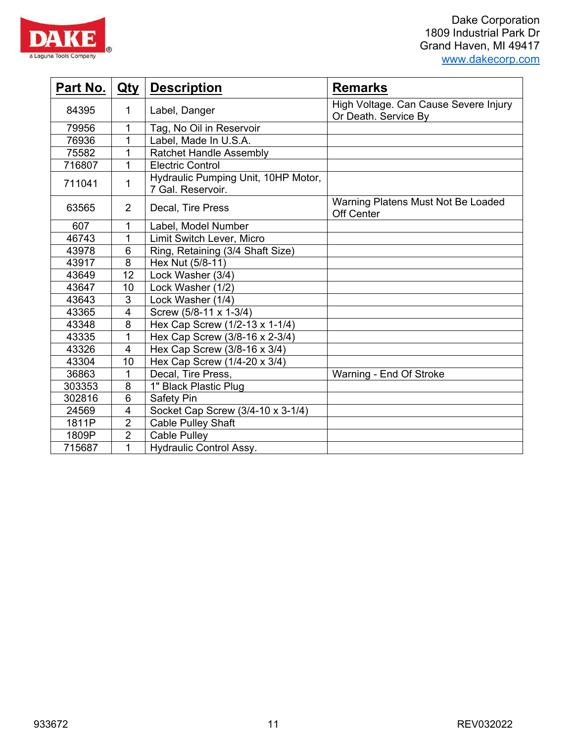



| Part No. | <u>Qty</u>     | <b>Description</b>                                       | <b>Remarks</b>                                                |
|----------|----------------|----------------------------------------------------------|---------------------------------------------------------------|
| 84395    | 1              | Label, Danger                                            | High Voltage. Can Cause Severe Injury<br>Or Death. Service By |
| 79956    | 1              | Tag, No Oil in Reservoir                                 |                                                               |
| 76936    | 1              | Label, Made In U.S.A.                                    |                                                               |
| 75582    | 1              | <b>Ratchet Handle Assembly</b>                           |                                                               |
| 716807   | 1              | <b>Electric Control</b>                                  |                                                               |
| 711041   | 1              | Hydraulic Pumping Unit, 10HP Motor,<br>7 Gal. Reservoir. |                                                               |
| 63565    | $\overline{2}$ | Decal, Tire Press                                        | Warning Platens Must Not Be Loaded<br>Off Center              |
| 607      | 1              | Label, Model Number                                      |                                                               |
| 46743    | 1              | Limit Switch Lever, Micro                                |                                                               |
| 43978    | 6              | Ring, Retaining (3/4 Shaft Size)                         |                                                               |
| 43917    | 8              | Hex Nut (5/8-11)                                         |                                                               |
| 43649    | 12             | Lock Washer (3/4)                                        |                                                               |
| 43647    | 10             | Lock Washer (1/2)                                        |                                                               |
| 43643    | 3              | Lock Washer (1/4)                                        |                                                               |
| 43365    | 4              | Screw (5/8-11 x 1-3/4)                                   |                                                               |
| 43348    | 8              | Hex Cap Screw (1/2-13 x 1-1/4)                           |                                                               |
| 43335    | 1              | Hex Cap Screw (3/8-16 x 2-3/4)                           |                                                               |
| 43326    | $\overline{4}$ | Hex Cap Screw (3/8-16 x 3/4)                             |                                                               |
| 43304    | 10             | Hex Cap Screw (1/4-20 x 3/4)                             |                                                               |
| 36863    | 1              | Decal, Tire Press,                                       | Warning - End Of Stroke                                       |
| 303353   | 8              | 1" Black Plastic Plug                                    |                                                               |
| 302816   | 6              | Safety Pin                                               |                                                               |
| 24569    | 4              | Socket Cap Screw (3/4-10 x 3-1/4)                        |                                                               |
| 1811P    | $\overline{2}$ | <b>Cable Pulley Shaft</b>                                |                                                               |
| 1809P    | $\overline{2}$ | <b>Cable Pulley</b>                                      |                                                               |
| 715687   | 1              | <b>Hydraulic Control Assy.</b>                           |                                                               |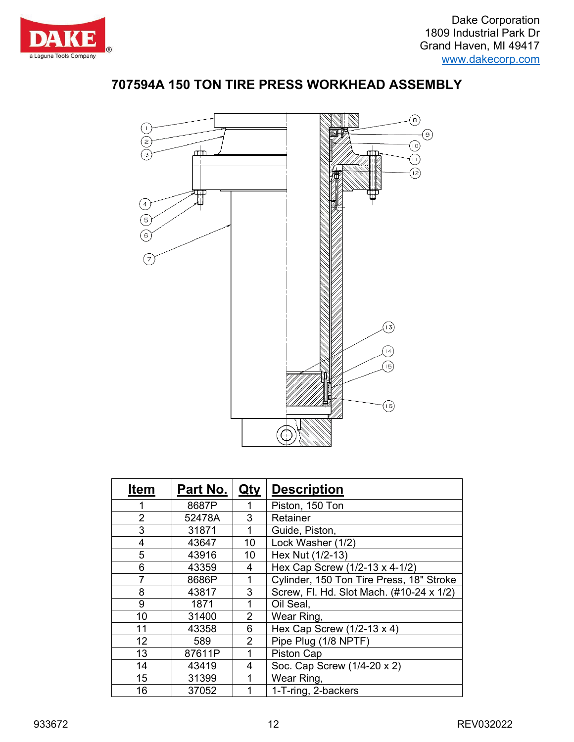





| <b>Item</b>      | Part No. | <u>Qty</u>     | <b>Description</b>                       |
|------------------|----------|----------------|------------------------------------------|
|                  | 8687P    |                | Piston, 150 Ton                          |
| $\overline{2}$   | 52478A   | 3              | Retainer                                 |
| 3                | 31871    | 1              | Guide, Piston,                           |
| 4                | 43647    | 10             | Lock Washer (1/2)                        |
| 5                | 43916    | 10             | Hex Nut (1/2-13)                         |
| 6                | 43359    | 4              | Hex Cap Screw (1/2-13 x 4-1/2)           |
| 7                | 8686P    | 1              | Cylinder, 150 Ton Tire Press, 18" Stroke |
| 8                | 43817    | 3              | Screw, Fl. Hd. Slot Mach. (#10-24 x 1/2) |
| 9                | 1871     | 1              | Oil Seal,                                |
| 10               | 31400    | $\overline{2}$ | Wear Ring,                               |
| 11               | 43358    | 6              | Hex Cap Screw $(1/2-13 \times 4)$        |
| 12 <sub>2</sub>  | 589      | $\overline{2}$ | Pipe Plug (1/8 NPTF)                     |
| 13               | 87611P   | 1              | Piston Cap                               |
| 14               | 43419    | 4              | Soc. Cap Screw (1/4-20 x 2)              |
| 15 <sub>15</sub> | 31399    | 1              | Wear Ring,                               |
| 16               | 37052    | 1              | 1-T-ring, 2-backers                      |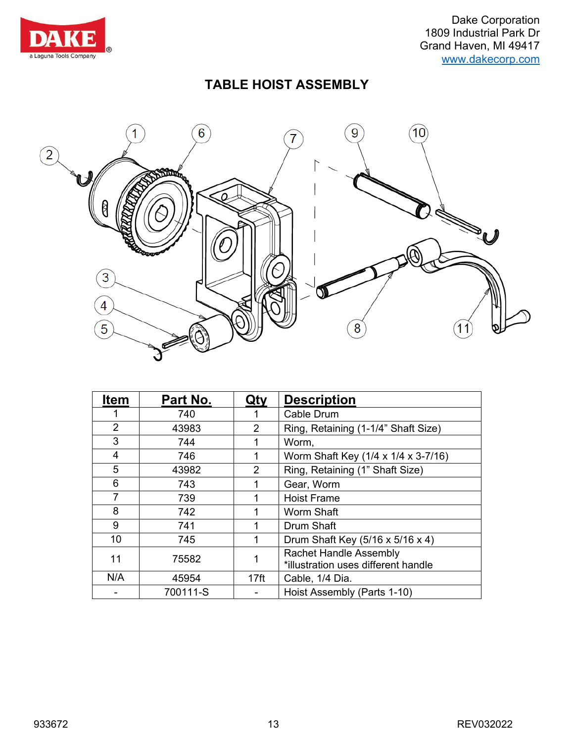

## **TABLE HOIST ASSEMBLY**



| <b>Item</b> | Part No. | Qty              | <b>Description</b>                                                   |
|-------------|----------|------------------|----------------------------------------------------------------------|
|             | 740      |                  | Cable Drum                                                           |
| 2           | 43983    | $\overline{2}$   | Ring, Retaining (1-1/4" Shaft Size)                                  |
| 3           | 744      |                  | Worm,                                                                |
| 4           | 746      |                  | Worm Shaft Key (1/4 x 1/4 x 3-7/16)                                  |
| 5           | 43982    | $\overline{2}$   | Ring, Retaining (1" Shaft Size)                                      |
| 6           | 743      |                  | Gear, Worm                                                           |
| 7           | 739      |                  | <b>Hoist Frame</b>                                                   |
| 8           | 742      |                  | Worm Shaft                                                           |
| 9           | 741      | 1                | <b>Drum Shaft</b>                                                    |
| 10          | 745      | 1                | Drum Shaft Key (5/16 x 5/16 x 4)                                     |
| 11          | 75582    |                  | <b>Rachet Handle Assembly</b><br>*illustration uses different handle |
| N/A         | 45954    | 17 <sub>ft</sub> | Cable, 1/4 Dia.                                                      |
|             | 700111-S |                  | Hoist Assembly (Parts 1-10)                                          |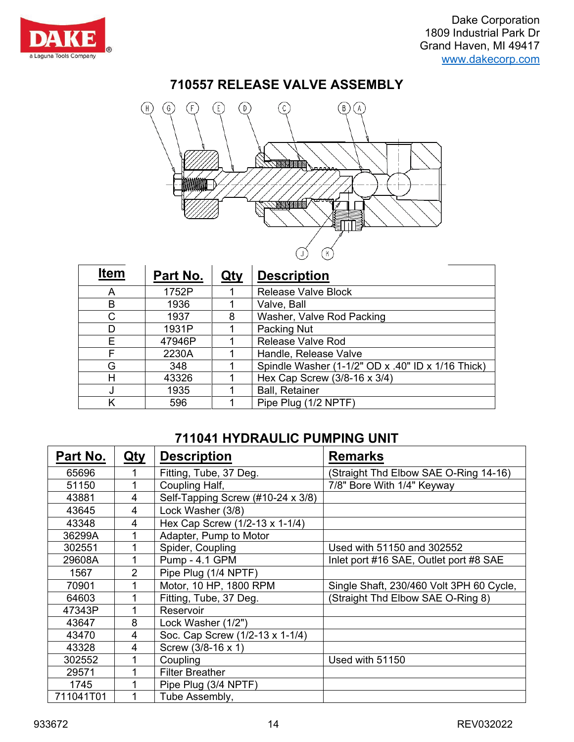

#### **710557 RELEASE VALVE ASSEMBLY**



| <b>Item</b> | Part No. | Qty | <b>Description</b>                                |
|-------------|----------|-----|---------------------------------------------------|
| A           | 1752P    |     | <b>Release Valve Block</b>                        |
| в           | 1936     |     | Valve, Ball                                       |
| C           | 1937     | 8   | Washer, Valve Rod Packing                         |
| D           | 1931P    |     | Packing Nut                                       |
| F           | 47946P   |     | <b>Release Valve Rod</b>                          |
| F           | 2230A    |     | Handle, Release Valve                             |
| G           | 348      |     | Spindle Washer (1-1/2" OD x .40" ID x 1/16 Thick) |
| н           | 43326    |     | Hex Cap Screw (3/8-16 x 3/4)                      |
| J           | 1935     |     | <b>Ball, Retainer</b>                             |
| κ           | 596      |     | Pipe Plug (1/2 NPTF)                              |

#### **711041 HYDRAULIC PUMPING UNIT**

| Part No.  | Qty | <b>Description</b>                | <b>Remarks</b>                           |
|-----------|-----|-----------------------------------|------------------------------------------|
| 65696     |     | Fitting, Tube, 37 Deg.            | (Straight Thd Elbow SAE O-Ring 14-16)    |
| 51150     |     | Coupling Half,                    | 7/8" Bore With 1/4" Keyway               |
| 43881     | 4   | Self-Tapping Screw (#10-24 x 3/8) |                                          |
| 43645     | 4   | Lock Washer (3/8)                 |                                          |
| 43348     | 4   | Hex Cap Screw (1/2-13 x 1-1/4)    |                                          |
| 36299A    |     | Adapter, Pump to Motor            |                                          |
| 302551    |     | Spider, Coupling                  | Used with 51150 and 302552               |
| 29608A    |     | Pump - 4.1 GPM                    | Inlet port #16 SAE, Outlet port #8 SAE   |
| 1567      | 2   | Pipe Plug (1/4 NPTF)              |                                          |
| 70901     |     | Motor, 10 HP, 1800 RPM            | Single Shaft, 230/460 Volt 3PH 60 Cycle, |
| 64603     |     | Fitting, Tube, 37 Deg.            | (Straight Thd Elbow SAE O-Ring 8)        |
| 47343P    |     | Reservoir                         |                                          |
| 43647     | 8   | Lock Washer (1/2")                |                                          |
| 43470     | 4   | Soc. Cap Screw (1/2-13 x 1-1/4)   |                                          |
| 43328     | 4   | Screw (3/8-16 x 1)                |                                          |
| 302552    |     | Coupling                          | Used with 51150                          |
| 29571     |     | <b>Filter Breather</b>            |                                          |
| 1745      |     | Pipe Plug (3/4 NPTF)              |                                          |
| 711041T01 |     | Tube Assembly,                    |                                          |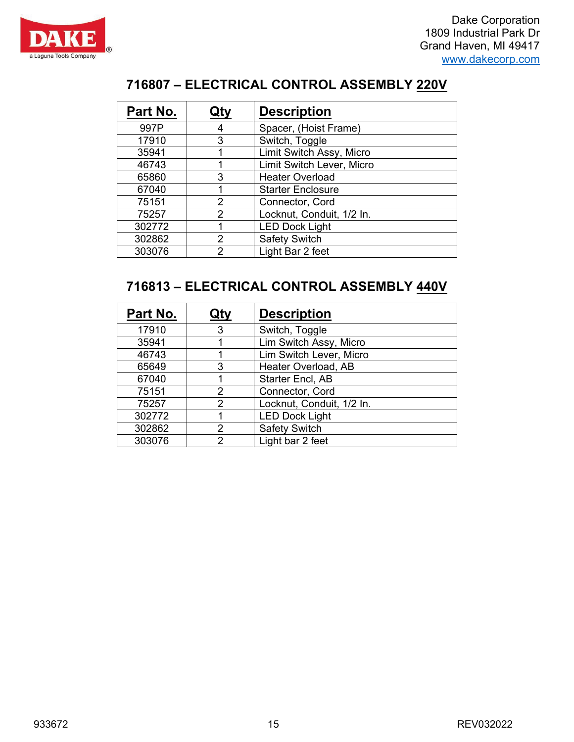



#### **– ELECTRICAL CONTROL ASSEMBLY 220V**

| Part No. | Qty                  | <b>Description</b>        |  |
|----------|----------------------|---------------------------|--|
| 997P     |                      | Spacer, (Hoist Frame)     |  |
| 17910    | 3                    | Switch, Toggle            |  |
| 35941    |                      | Limit Switch Assy, Micro  |  |
| 46743    |                      | Limit Switch Lever, Micro |  |
| 65860    | 3                    | <b>Heater Overload</b>    |  |
| 67040    |                      | <b>Starter Enclosure</b>  |  |
| 75151    | Connector, Cord<br>2 |                           |  |
| 75257    | 2                    | Locknut, Conduit, 1/2 In. |  |
| 302772   |                      | <b>LED Dock Light</b>     |  |
| 302862   | 2                    | <b>Safety Switch</b>      |  |
| 303076   | 2                    | Light Bar 2 feet          |  |

### **– ELECTRICAL CONTROL ASSEMBLY 440V**

| Part No. | Qty                     | <b>Description</b>        |  |
|----------|-------------------------|---------------------------|--|
| 17910    | 3                       | Switch, Toggle            |  |
| 35941    |                         | Lim Switch Assy, Micro    |  |
| 46743    |                         | Lim Switch Lever, Micro   |  |
| 65649    | 3                       | Heater Overload, AB       |  |
| 67040    | <b>Starter Encl, AB</b> |                           |  |
| 75151    | 2                       | Connector, Cord           |  |
| 75257    | 2                       | Locknut, Conduit, 1/2 In. |  |
| 302772   |                         | <b>LED Dock Light</b>     |  |
| 302862   | $\mathcal{P}$           | <b>Safety Switch</b>      |  |
| 303076   | っ                       | Light bar 2 feet          |  |